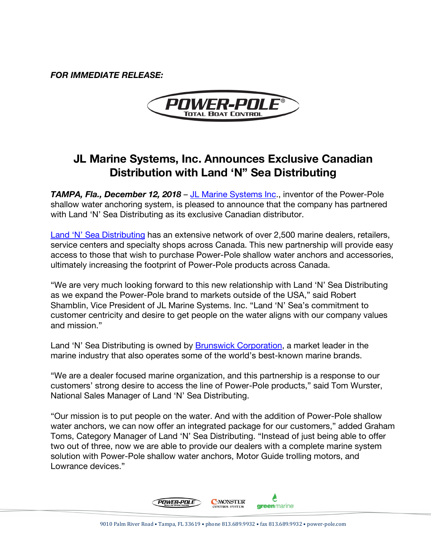*FOR IMMEDIATE RELEASE:*



## **JL Marine Systems, Inc. Announces Exclusive Canadian Distribution with Land 'N" Sea Distributing**

**TAMPA, Fla., December 12, 2018 – JL Marine Systems Inc., inventor of the Power-Pole** shallow water anchoring system, is pleased to announce that the company has partnered with Land 'N' Sea Distributing as its exclusive Canadian distributor.

Land 'N' Sea Distributing has an extensive network of over 2,500 marine dealers, retailers, service centers and specialty shops across Canada. This new partnership will provide easy access to those that wish to purchase Power-Pole shallow water anchors and accessories, ultimately increasing the footprint of Power-Pole products across Canada.

"We are very much looking forward to this new relationship with Land 'N' Sea Distributing as we expand the Power-Pole brand to markets outside of the USA," said Robert Shamblin, Vice President of JL Marine Systems. Inc. "Land 'N' Sea's commitment to customer centricity and desire to get people on the water aligns with our company values and mission."

Land 'N' Sea Distributing is owned by Brunswick Corporation, a market leader in the marine industry that also operates some of the world's best-known marine brands.

"We are a dealer focused marine organization, and this partnership is a response to our customers' strong desire to access the line of Power-Pole products," said Tom Wurster, National Sales Manager of Land 'N' Sea Distributing.

"Our mission is to put people on the water. And with the addition of Power-Pole shallow water anchors, we can now offer an integrated package for our customers," added Graham Toms, Category Manager of Land 'N' Sea Distributing. "Instead of just being able to offer two out of three, now we are able to provide our dealers with a complete marine system solution with Power-Pole shallow water anchors, Motor Guide trolling motors, and Lowrance devices."